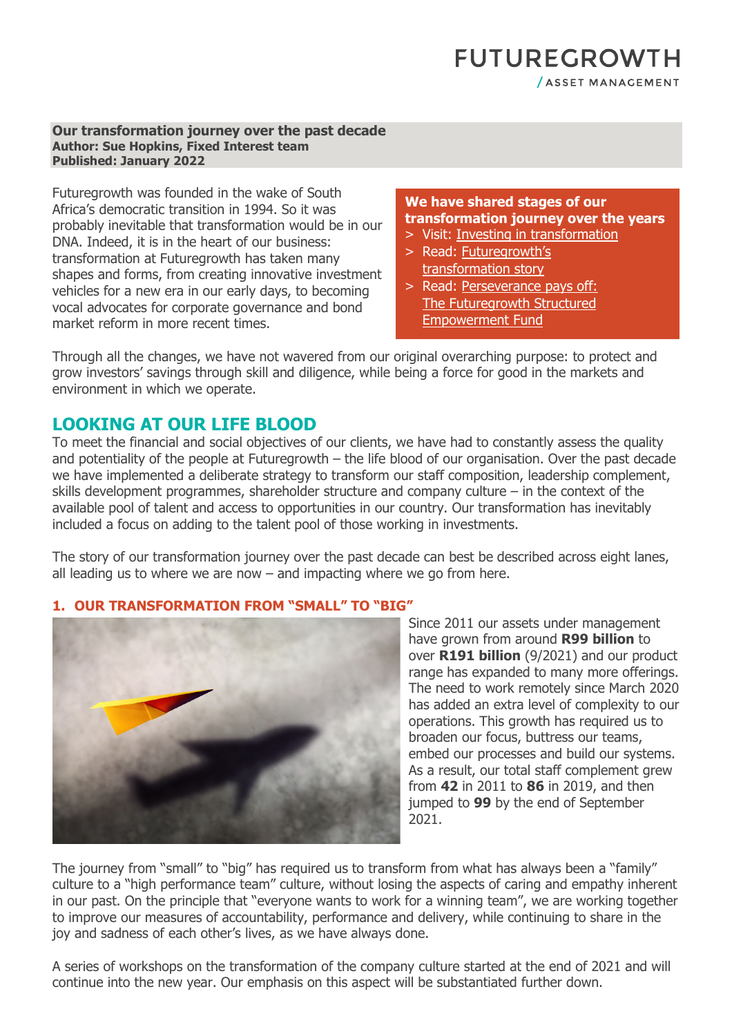### **FUTUREGROWTH** / ASSET MANAGEMENT

#### **Our transformation journey over the past decade Author: Sue Hopkins, Fixed Interest team Published: January 2022**

Futuregrowth was founded in the wake of South Africa's democratic transition in 1994. So it was probably inevitable that transformation would be in our DNA. Indeed, it is in the heart of our business: transformation at Futuregrowth has taken many shapes and forms, from creating innovative investment vehicles for a new era in our early days, to becoming vocal advocates for corporate governance and bond market reform in more recent times.

#### **We have shared stages of our transformation journey over the years**

- > [Visit: Investing in transformation](https://www.futuregrowth.co.za/about-us/investing-in-transformation/)
- > [Read: Futuregrowth's](https://www.futuregrowth.co.za/media/3154/futuregrowths-transformation-story.pdf) [transformation story](https://www.futuregrowth.co.za/media/3154/futuregrowths-transformation-story.pdf)
- > [Read: Perseverance pays off:](https://www.futuregrowth.co.za/insights/perseverance-pays-off-the-futuregrowth-structured-empowerment-fund/)  [The Futuregrowth Structured](https://www.futuregrowth.co.za/insights/perseverance-pays-off-the-futuregrowth-structured-empowerment-fund/)  [Empowerment Fund](https://www.futuregrowth.co.za/insights/perseverance-pays-off-the-futuregrowth-structured-empowerment-fund/)

Through all the changes, we have not wavered from our original overarching purpose: to protect and grow investors' savings through skill and diligence, while being a force for good in the markets and environment in which we operate.

### **LOOKING AT OUR LIFE BLOOD**

To meet the financial and social objectives of our clients, we have had to constantly assess the quality and potentiality of the people at Futuregrowth – the life blood of our organisation. Over the past decade we have implemented a deliberate strategy to transform our staff composition, leadership complement, skills development programmes, shareholder structure and company culture – in the context of the available pool of talent and access to opportunities in our country. Our transformation has inevitably included a focus on adding to the talent pool of those working in investments.

The story of our transformation journey over the past decade can best be described across eight lanes, all leading us to where we are now – and impacting where we go from here.

### **1. OUR TRANSFORMATION FROM "SMALL" TO "BIG"**



Since 2011 our assets under management have grown from around **R99 billion** to over **R191 billion** (9/2021) and our product range has expanded to many more offerings. The need to work remotely since March 2020 has added an extra level of complexity to our operations. This growth has required us to broaden our focus, buttress our teams, embed our processes and build our systems. As a result, our total staff complement grew from **42** in 2011 to **86** in 2019, and then jumped to **99** by the end of September 2021.

The journey from "small" to "big" has required us to transform from what has always been a "family" culture to a "high performance team" culture, without losing the aspects of caring and empathy inherent in our past. On the principle that "everyone wants to work for a winning team", we are working together to improve our measures of accountability, performance and delivery, while continuing to share in the joy and sadness of each other's lives, as we have always done.

A series of workshops on the transformation of the company culture started at the end of 2021 and will continue into the new year. Our emphasis on this aspect will be substantiated further down.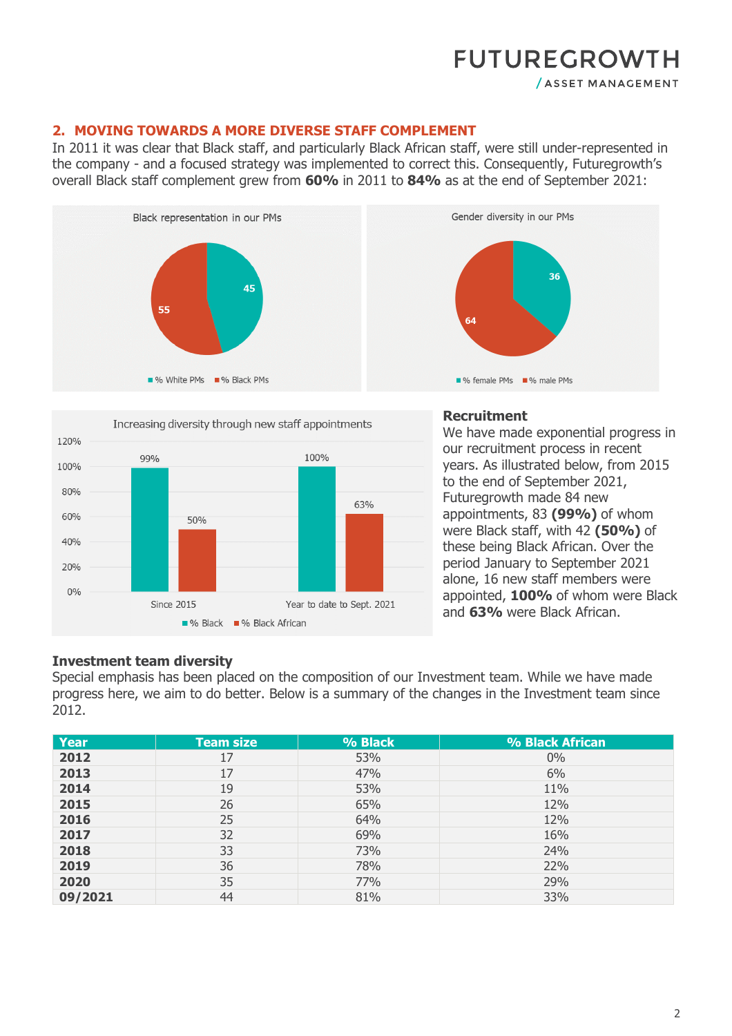/ ASSET MANAGEMENT

#### **2. MOVING TOWARDS A MORE DIVERSE STAFF COMPLEMENT**

In 2011 it was clear that Black staff, and particularly Black African staff, were still under-represented in the company - and a focused strategy was implemented to correct this. Consequently, Futuregrowth's overall Black staff complement grew from **60%** in 2011 to **84%** as at the end of September 2021:





#### **Recruitment**

We have made exponential progress in our recruitment process in recent years. As illustrated below, from 2015 to the end of September 2021, Futuregrowth made 84 new appointments, 83 **(99%)** of whom were Black staff, with 42 **(50%)** of these being Black African. Over the period January to September 2021 alone, 16 new staff members were appointed, **100%** of whom were Black and **63%** were Black African.

#### **Investment team diversity**

Special emphasis has been placed on the composition of our Investment team. While we have made progress here, we aim to do better. Below is a summary of the changes in the Investment team since 2012.

| <b>Year</b> | <b>Team size</b> | % Black | % Black African |
|-------------|------------------|---------|-----------------|
| 2012        | 17               | 53%     | $0\%$           |
| 2013        | 17               | 47%     | 6%              |
| 2014        | 19               | 53%     | 11%             |
| 2015        | 26               | 65%     | 12%             |
| 2016        | 25               | 64%     | 12%             |
| 2017        | 32               | 69%     | 16%             |
| 2018        | 33               | 73%     | 24%             |
| 2019        | 36               | 78%     | 22%             |
| 2020        | 35               | 77%     | 29%             |
| 09/2021     | 44               | 81%     | 33%             |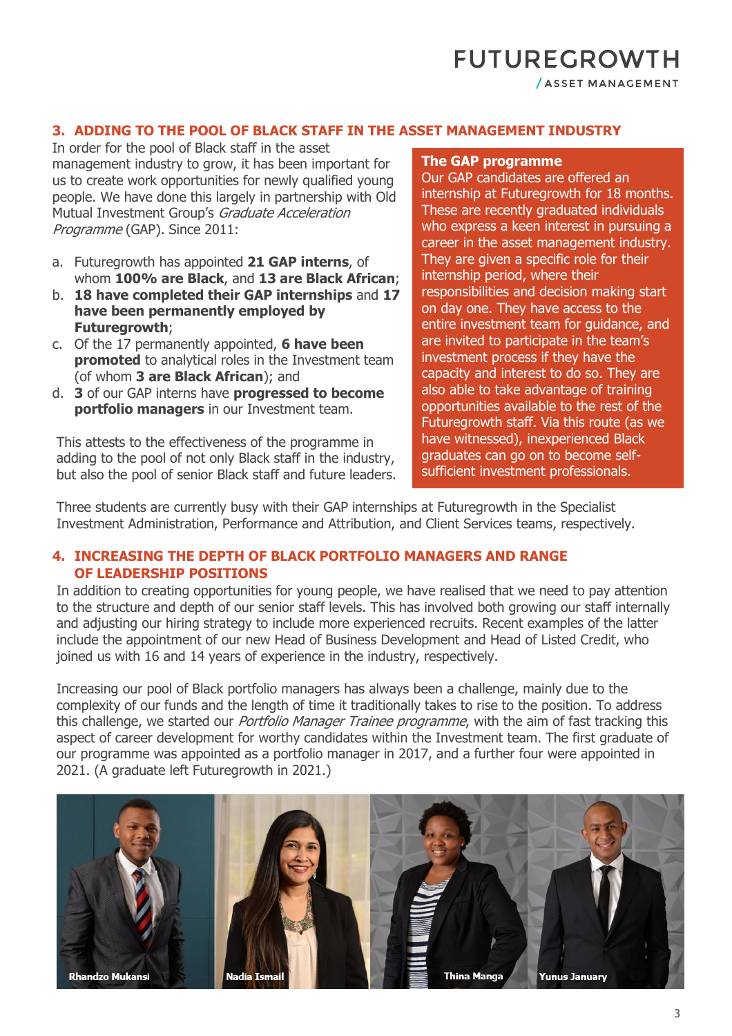/ ASSET MANAGEMENT

#### **3. ADDING TO THE POOL OF BLACK STAFF IN THE ASSET MANAGEMENT INDUSTRY**

In order for the pool of Black staff in the asset management industry to grow, it has been important for us to create work opportunities for newly qualified young people. We have done this largely in partnership with Old Mutual Investment Group's Graduate Acceleration Programme (GAP). Since 2011:

- a. Futuregrowth has appointed **21 GAP interns**, of whom **100% are Black**, and **13 are Black African**;
- b. **18 have completed their GAP internships** and **17 have been permanently employed by Futuregrowth**;
- c. Of the 17 permanently appointed, **6 have been promoted** to analytical roles in the Investment team (of whom **3 are Black African**); and
- d. **3** of our GAP interns have **progressed to become portfolio managers** in our Investment team.

This attests to the effectiveness of the programme in adding to the pool of not only Black staff in the industry, but also the pool of senior Black staff and future leaders.

#### **The GAP programme**

Our GAP candidates are offered an internship at Futuregrowth for 18 months. These are recently graduated individuals who express a keen interest in pursuing a career in the asset management industry. They are given a specific role for their internship period, where their responsibilities and decision making start on day one. They have access to the entire investment team for guidance, and are invited to participate in the team's investment process if they have the capacity and interest to do so. They are also able to take advantage of training opportunities available to the rest of the Futuregrowth staff. Via this route (as we have witnessed), inexperienced Black graduates can go on to become selfsufficient investment professionals.

Three students are currently busy with their GAP internships at Futuregrowth in the Specialist Investment Administration, Performance and Attribution, and Client Services teams, respectively.

#### **4. INCREASING THE DEPTH OF BLACK PORTFOLIO MANAGERS AND RANGE OF LEADERSHIP POSITIONS**

In addition to creating opportunities for young people, we have realised that we need to pay attention to the structure and depth of our senior staff levels. This has involved both growing our staff internally and adjusting our hiring strategy to include more experienced recruits. Recent examples of the latter include the appointment of our new Head of Business Development and Head of Listed Credit, who joined us with 16 and 14 years of experience in the industry, respectively.

Increasing our pool of Black portfolio managers has always been a challenge, mainly due to the complexity of our funds and the length of time it traditionally takes to rise to the position. To address this challenge, we started our *Portfolio Manager Trainee programme*, with the aim of fast tracking this aspect of career development for worthy candidates within the Investment team. The first graduate of our programme was appointed as a portfolio manager in 2017, and a further four were appointed in 2021. (A graduate left Futuregrowth in 2021.)

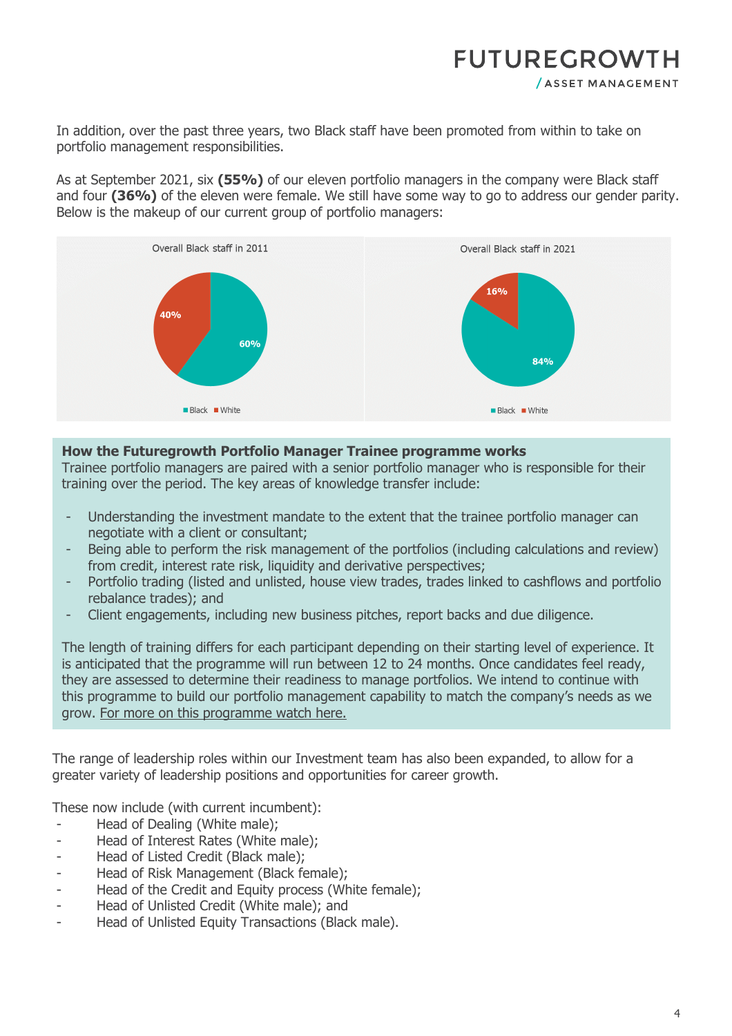In addition, over the past three years, two Black staff have been promoted from within to take on portfolio management responsibilities.

As at September 2021, six **(55%)** of our eleven portfolio managers in the company were Black staff and four **(36%)** of the eleven were female. We still have some way to go to address our gender parity. Below is the makeup of our current group of portfolio managers:



#### **How the Futuregrowth Portfolio Manager Trainee programme works**

Trainee portfolio managers are paired with a senior portfolio manager who is responsible for their training over the period. The key areas of knowledge transfer include:

- Understanding the investment mandate to the extent that the trainee portfolio manager can negotiate with a client or consultant;
- Being able to perform the risk management of the portfolios (including calculations and review) from credit, interest rate risk, liquidity and derivative perspectives;
- Portfolio trading (listed and unlisted, house view trades, trades linked to cashflows and portfolio rebalance trades); and
- Client engagements, including new business pitches, report backs and due diligence.

The length of training differs for each participant depending on their starting level of experience. It is anticipated that the programme will run between 12 to 24 months. Once candidates feel ready, they are assessed to determine their readiness to manage portfolios. We intend to continue with this programme to build our portfolio management capability to match the company's needs as we grow. [For more on this programme watch here.](https://www.futuregrowth.co.za/insights/discussing-the-portfolio-manager-trainee-programme/)

The range of leadership roles within our Investment team has also been expanded, to allow for a greater variety of leadership positions and opportunities for career growth.

These now include (with current incumbent):

- Head of Dealing (White male);
- Head of Interest Rates (White male);
- Head of Listed Credit (Black male);
- Head of Risk Management (Black female);
- Head of the Credit and Equity process (White female);
- Head of Unlisted Credit (White male); and
- Head of Unlisted Equity Transactions (Black male).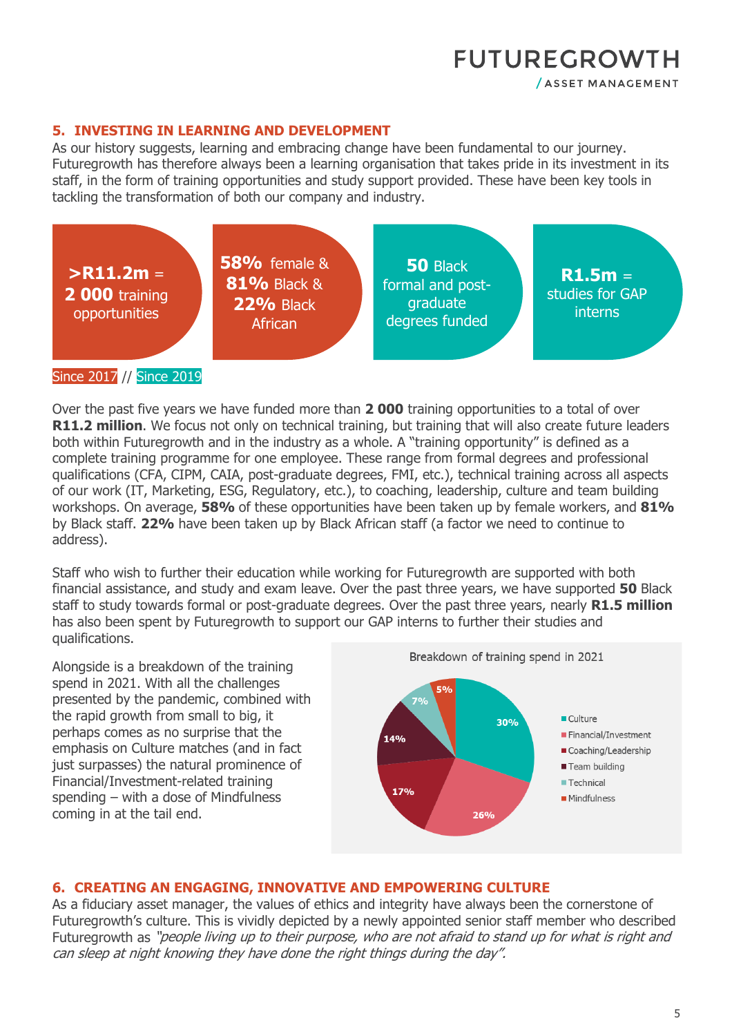/ ASSET MANAGEMENT

#### **5. INVESTING IN LEARNING AND DEVELOPMENT**

As our history suggests, learning and embracing change have been fundamental to our journey. Futuregrowth has therefore always been a learning organisation that takes pride in its investment in its staff, in the form of training opportunities and study support provided. These have been key tools in tackling the transformation of both our company and industry.



Over the past five years we have funded more than **2 000** training opportunities to a total of over **R11.2 million**. We focus not only on technical training, but training that will also create future leaders both within Futuregrowth and in the industry as a whole. A "training opportunity" is defined as a complete training programme for one employee. These range from formal degrees and professional qualifications (CFA, CIPM, CAIA, post-graduate degrees, FMI, etc.), technical training across all aspects of our work (IT, Marketing, ESG, Regulatory, etc.), to coaching, leadership, culture and team building workshops. On average, **58%** of these opportunities have been taken up by female workers, and **81%**  by Black staff. **22%** have been taken up by Black African staff (a factor we need to continue to address).

Staff who wish to further their education while working for Futuregrowth are supported with both financial assistance, and study and exam leave. Over the past three years, we have supported **50** Black staff to study towards formal or post-graduate degrees. Over the past three years, nearly **R1.5 million** has also been spent by Futuregrowth to support our GAP interns to further their studies and qualifications.

Alongside is a breakdown of the training spend in 2021. With all the challenges presented by the pandemic, combined with the rapid growth from small to big, it perhaps comes as no surprise that the emphasis on Culture matches (and in fact just surpasses) the natural prominence of Financial/Investment-related training spending – with a dose of Mindfulness coming in at the tail end.



#### **6. CREATING AN ENGAGING, INNOVATIVE AND EMPOWERING CULTURE**

As a fiduciary asset manager, the values of ethics and integrity have always been the cornerstone of Futuregrowth's culture. This is vividly depicted by a newly appointed senior staff member who described Futuregrowth as "people living up to their purpose, who are not afraid to stand up for what is right and can sleep at night knowing they have done the right things during the day".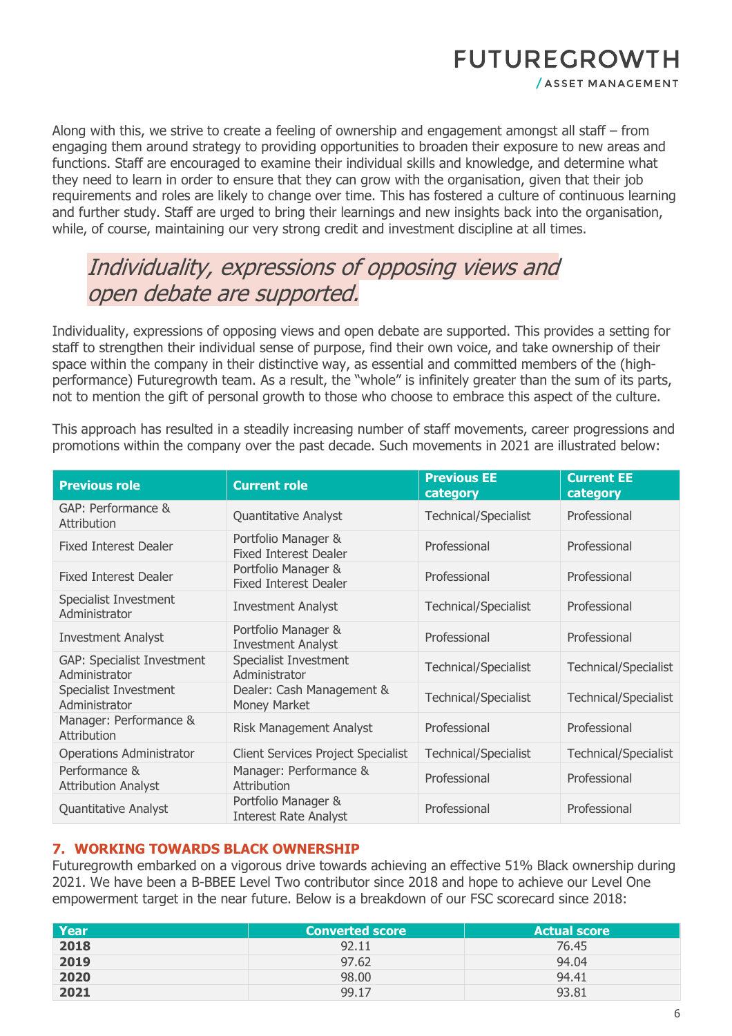/ ASSET MANAGEMENT

Along with this, we strive to create a feeling of ownership and engagement amongst all staff – from engaging them around strategy to providing opportunities to broaden their exposure to new areas and functions. Staff are encouraged to examine their individual skills and knowledge, and determine what they need to learn in order to ensure that they can grow with the organisation, given that their job requirements and roles are likely to change over time. This has fostered a culture of continuous learning and further study. Staff are urged to bring their learnings and new insights back into the organisation, while, of course, maintaining our very strong credit and investment discipline at all times.

## Individuality, expressions of opposing views and open debate are supported.

Individuality, expressions of opposing views and open debate are supported. This provides a setting for staff to strengthen their individual sense of purpose, find their own voice, and take ownership of their space within the company in their distinctive way, as essential and committed members of the (highperformance) Futuregrowth team. As a result, the "whole" is infinitely greater than the sum of its parts, not to mention the gift of personal growth to those who choose to embrace this aspect of the culture.

This approach has resulted in a steadily increasing number of staff movements, career progressions and promotions within the company over the past decade. Such movements in 2021 are illustrated below:

| <b>Previous role</b>                               | <b>Current role</b>                                 | <b>Previous EE</b><br>category | <b>Current EE</b><br>category |
|----------------------------------------------------|-----------------------------------------------------|--------------------------------|-------------------------------|
| GAP: Performance &<br>Attribution                  | Quantitative Analyst                                | <b>Technical/Specialist</b>    | Professional                  |
| <b>Fixed Interest Dealer</b>                       | Portfolio Manager &<br><b>Fixed Interest Dealer</b> | Professional                   | Professional                  |
| <b>Fixed Interest Dealer</b>                       | Portfolio Manager &<br><b>Fixed Interest Dealer</b> | Professional                   | Professional                  |
| Specialist Investment<br>Administrator             | <b>Investment Analyst</b>                           | <b>Technical/Specialist</b>    | Professional                  |
| <b>Investment Analyst</b>                          | Portfolio Manager &<br><b>Investment Analyst</b>    | Professional                   | Professional                  |
| <b>GAP: Specialist Investment</b><br>Administrator | Specialist Investment<br>Administrator              | <b>Technical/Specialist</b>    | <b>Technical/Specialist</b>   |
| Specialist Investment<br>Administrator             | Dealer: Cash Management &<br>Money Market           | <b>Technical/Specialist</b>    | <b>Technical/Specialist</b>   |
| Manager: Performance &<br>Attribution              | Risk Management Analyst                             | Professional                   | Professional                  |
| <b>Operations Administrator</b>                    | <b>Client Services Project Specialist</b>           | <b>Technical/Specialist</b>    | Technical/Specialist          |
| Performance &<br><b>Attribution Analyst</b>        | Manager: Performance &<br>Attribution               | Professional                   | Professional                  |
| Quantitative Analyst                               | Portfolio Manager &<br><b>Interest Rate Analyst</b> | Professional                   | Professional                  |

#### **7. WORKING TOWARDS BLACK OWNERSHIP**

Futuregrowth embarked on a vigorous drive towards achieving an effective 51% Black ownership during 2021. We have been a B-BBEE Level Two contributor since 2018 and hope to achieve our Level One empowerment target in the near future. Below is a breakdown of our FSC scorecard since 2018:

| Year | <b>Converted score</b> | <b>Actual score</b> |
|------|------------------------|---------------------|
| 2018 | 92.11                  | 76.45               |
| 2019 | 97.62                  | 94.04               |
| 2020 | 98.00                  | 94.41               |
| 2021 | 99.17                  | 93.81               |